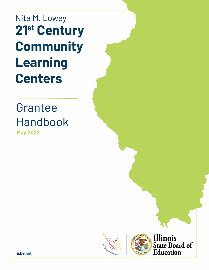Nita M. Lowey 21<sup>st</sup> Century **Community Learning Centers** 

# Grantee **Handbook**

**May 2022** 



Illinois **State Board of Education** 

isbe.net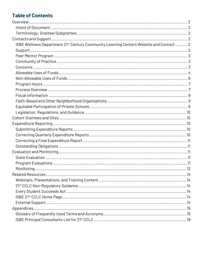## **Table of Contents**

| ISBE Wellness Department 21 <sup>st</sup> Century Community Learning Centers Website and Contact  2 |  |  |
|-----------------------------------------------------------------------------------------------------|--|--|
|                                                                                                     |  |  |
|                                                                                                     |  |  |
|                                                                                                     |  |  |
|                                                                                                     |  |  |
|                                                                                                     |  |  |
|                                                                                                     |  |  |
|                                                                                                     |  |  |
|                                                                                                     |  |  |
|                                                                                                     |  |  |
|                                                                                                     |  |  |
|                                                                                                     |  |  |
|                                                                                                     |  |  |
|                                                                                                     |  |  |
|                                                                                                     |  |  |
|                                                                                                     |  |  |
|                                                                                                     |  |  |
|                                                                                                     |  |  |
|                                                                                                     |  |  |
|                                                                                                     |  |  |
|                                                                                                     |  |  |
|                                                                                                     |  |  |
|                                                                                                     |  |  |
|                                                                                                     |  |  |
|                                                                                                     |  |  |
|                                                                                                     |  |  |
|                                                                                                     |  |  |
|                                                                                                     |  |  |
|                                                                                                     |  |  |
|                                                                                                     |  |  |
|                                                                                                     |  |  |
|                                                                                                     |  |  |
|                                                                                                     |  |  |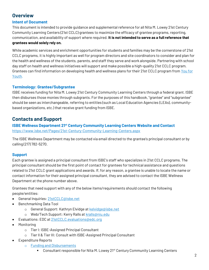## **Overview**

### **Intent of Document**

This document is intended to provide guidance and supplemental reference for all Nita M. Lowey 21st Century Community Learning Centers (21st CCLC) grantees to maximize the efficacy of grantee programs, reporting, communication, and availability of support where required. **It is not intended to serve as a full reference that grantees would solely rely on.**

While academic services and enrichment opportunities for students and families may be the cornerstone of 21st CCLC programs, it is highly important as well for program directors and site coordinators to consider and plan for the health and wellness of the students, parents, and staff they serve and work alongside. Partnering with school day staff on health and wellness initiatives will support and make possible a high-quality 21st CCLC program. Grantees can find information on developing health and wellness plans for their 21st CCLC program from [You for](https://y4y.ed.gov/y4yclickandgo/partnering-with-the-school-day-health-and-wellness/3754)  [Youth.](https://y4y.ed.gov/y4yclickandgo/partnering-with-the-school-day-health-and-wellness/3754)

#### **Terminology: Grantee/Subgrantee**

ISBE receives funding for Nita M. Lowey 21st Century Community Learning Centers through a federal grant. ISBE then disburses those monies through subgrants. For the purposes of this handbook, "grantee" and "subgrantee" should be seen as interchangeable, referring to entities (such as Local Education Agencies (LEAs), communitybased organizations, etc.) that receive grant funding from ISBE.

## **Contacts and Support**

**ISBE Wellness Department 21st Century Community Learning Centers Website and Contact** <https://www.isbe.net/Pages/21st-Century-Community-Learning-Centers.aspx>

The ISBE Wellness Department may be contacted via email directed to the grantee's principal consultant or by calling (217) 782-5270.

### **Support**

Each grantee is assigned a principal consultant from ISBE's staff who specializes in 21st CCLC programs. The principal consultant should be the first point of contact for grantees for technical assistance and questions related to 21st CCLC grant applications and awards. If, for any reason, a grantee is unable to locate the name or contact information for their assigned principal consultant, they are advised to contact the ISBE Wellness Department at the phone number above.

Grantees that need support with any of the below items/requirements should contact the following people/entities:

- General Inquiries: [21stCCLC@isbe.net](mailto:21stCCLC@isbe.net)
- Benchmarking Data Tool
	- o General Support: Kathryn Elvidge a[t kelvidge@isbe.net](mailto:kelvidge@isbe.net)
	- o Web/Tech Support: Kerry Ralls at [kralls@niu.edu](mailto:kralls@niu.edu)
- Evaluations: EDC at [21stCCLC.evaluations@edc.org](mailto:21stCCLC.evaluations@edc.org)
- Monitoring
	- o Tier I: ISBE-Assigned Principal Consultant
	- o Tier II & Tier III: Consult with ISBE-Assigned Principal Consultant
- Expenditure Reports
	- o [Funding and Disbursements](https://www.isbe.net/Pages/Funding-and-Disbursements-Contact-Information.aspx)
		- Consultant responsible for Nita M. Lowey 21<sup>st</sup> Century Community Learning Centers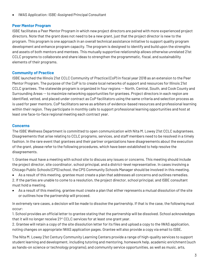• IWAS Application: ISBE-Assigned Principal Consultant

#### **Peer Mentor Program**

ISBE facilitates a Peer Mentor Program in which new project directors are paired with more experienced project directors. Note that the grant does not need to be a new grant, just that the project director is new to the program. This program is one approach in an overall technical assistance initiative to support quality program development and enhance program capacity. The program is designed to identify and build upon the strengths and assets of both mentors and mentees. This mutually supportive relationship allows otherwise unrelated 21st CCLC programs to collaborate and share ideas to strengthen the programmatic, fiscal, and sustainability elements of their programs.

#### **Community of Practice**

ISBE launched the Illinois 21st CCLC Community of Practice (CoP) in fiscal year 2018 as an extension to the Peer Mentor Program. The purpose of the CoP is to create local networks of support and resources for Illinois 21st CCLC grantees. The statewide program is organized in four regions -- North, Central, South, and Cook County and Surrounding Areas --to maximize networking opportunities for grantees. Project directors in each region are identified, vetted, and placed under contract as CoP facilitators using the same criteria and selection process as is used for peer mentors. CoP facilitators serve as arbiters of evidence-based resources and professional learning within their region. They participate in monthly calls to support professional learning opportunities and host at least one face-to-face regional meeting each contract year.

#### **Concerns**

The ISBE Wellness Department is committed to open communication with Nita M. Lowey 21st CCLC subgrantees. Disagreements that arise relating to CCLC programs, services, and staff members need to be resolved in a timely fashion. In the rare event that grantees and their partner organizations have disagreements about the execution of the grant, please refer to the following procedures, which have been established to help resolve the disagreements.

1. Grantee must have a meeting with school site to discuss any issues or concerns. This meeting should include the project director, site coordinator, school principal, and a district-level representative. In cases involving a Chicago Public Schools (CPS) school, the CPS Community Schools Manager should be involved in this meeting.

• As a result of this meeting, grantee must create a plan that addresses all concerns and outlines remedies. 2. If the parties are unable to come to a resolution, the project director, school principal, and ISBE consultant must hold a meeting.

• As a result of this meeting, grantee must create a plan that either represents a mutual dissolution of the site or outlines how the partnership will proceed.

In extremely rare cases, a decision will be made to dissolve the partnership. If that is the case, the following must occur:

1. School provides an official letter to grantee stating that the partnership will be dissolved. School acknowledges that it will no longer receive 21<sup>st</sup> CCLC services for at least one grant year.

2. Grantee will retain a copy of the site dissolution letter for its files and upload a copy to the IWAS application, noting changes on appropriate IWAS application pages. Grantee will also provide a copy via email to ISBE.

The Nita M. Lowey 21st Century Community Learning Centers provide a range of high-quality services to support student learning and development, including tutoring and mentoring, homework help, academic enrichment (such as hands-on science or technology programs), and community service opportunities, as well as music, arts,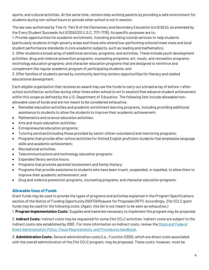sports, and cultural activities. At the same time, centers help working parents by providing a safe environment for students during non-school hours or periods when school is not in session.

The law was authorized by Title IV, Part B of the Elementary and Secondary Education Act (ESEA), as amended by the Every Student Succeeds Act (ESSA) (20 U.S.C. 7171-7176). Its specific purposes are to:

1. Provide opportunities for academic enrichment, including providing tutorial services to help students (particularly students in high-poverty areas and those who attend low-performing schools) meet state and local student performance standards in core academic subjects, such as reading and mathematics;

2. Offer students a broad array of additional services, programs, and activities. These include youth development activities; drug and violence prevention programs; counseling programs; art, music, and recreation programs; technology education programs; and character education programs that are designed to reinforce and complement the regular academic program of participating students; and

3. Offer families of students served by community learning centers opportunities for literacy and related educational development.

Each eligible organization that receives an award may use the funds to carry out a broad array of before-/ afterschool activities (or activities during other times when school is not in session) that advance student achievement within this scope as defined by the U.S. Department of Education. The following lists include allowable/nonallowable uses of funds and are not meant to be considered exhaustive.

- Remedial education activities and academic enrichment learning programs, including providing additional assistance to students to allow the students to improve their academic achievement;
- Mathematics and science education activities;
- Arts and music education activities;
- Entrepreneurial education programs;
- Tutoring services (including those provided by senior citizen volunteers) and mentoring programs;
- Programs that provide after-school activities for limited English proficient students that emphasize language skills and academic achievement;
- Recreational activities;
- Telecommunications and technology education programs;
- Expanded library service hours;
- Programs that promote parental involvement and family literacy;
- Programs that provide assistance to students who have been truant, suspended, or expelled, to allow them to improve their academic achievement; and
- Drug and violence prevention programs, counseling programs, and character education programs.

### **Allowable Uses of Funds**

Grant funds may be used to provide the types of programs and activities explained in the Program Specifications section of the Notice of Funding Opportunity (NOFO)/Request for Proposals (RFP). Accordingly, 21st CCLC grant funds may be used for the following costs. (Again, this list is not meant to be seen as exhaustive.)

1. **Program Implementation Costs:** Supplies and materials necessary to implement the program may be proposed.

2. **Indirect Costs:** Indirect costs may be requested for some 21st CCLC activities. Indirect costs are subject to the indirect costs rate established by ISBE. For more information on indirect costs, review th[e State and Federal](https://www.isbe.net/Documents/fiscal_procedure_handbk.pdf)  [Grant Administration Policy, Fiscal Requirements, and Procedures handbook.](https://www.isbe.net/Documents/fiscal_procedure_handbk.pdf)

3. **Administration Costs:** General administration costs (i.e., Function 2300), which are direct costs associated with the overall administration of the 21st CCLC program, may be proposed. These costs, however, must be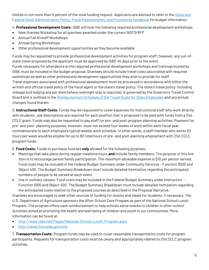limited to not more than 5 percent of the total funding request. Applicants are advised to refer to the *State and* [Federal Grant Administration Policy, Fiscal Requirements, and Procedures handbook](https://www.isbe.net/Documents/fiscal_procedure_handbk.pdf) for budget information.

4. **Professional Development Costs:** ISBE will host the following required professional development workshops:

- New Grantee Workshop for all grantees awarded under the current NOFO/RFP
- Annual Fall Kickoff Workshops
- Annual Spring Workshops
- Other professional development opportunities as they become available

Funds may be requested to provide professional development activities for program staff; however, any out-ofstate travel proposed by the applicant must be approved by ISBE 45 days prior to the event. Funds necessary for attendance at the required professional development workshops and trainings hosted by ISBE must be included in the budget proposal. Grantees should include travel costs associated with required workshops as well as other professional development opportunities they wish to provide for staff. Travel expenses associated with professional development must be processed in accordance with either the written and official travel policy of the fiscal agent or the state's travel policy. The state's travel policy, including mileage and lodging and per diem (where overnight stay is required), is governed by the Governor's Travel Control Board and is outlined in the [Reimbursement Schedule of the Travel Guide for State Employees](https://www2.illinois.gov/cms/Employees/travel/Pages/default.aspx) and any annual changes found therein.

5. **Instructional Staff Costs:** Funds may be requested to cover expenses for instructional staff who work directly with students. Job descriptions are required for each position that is proposed to be paid with funds from a 21st CCLC grant. Funds may also be requested to pay staff for pre- and post-program planning activities. Payment for pre- and post- planning purposes, however, must not exceed four weeks of work within each fiscal year commensurate to each employee's typical weekly work schedule. In other words, a staff member who works 20 hours per week would be eligible for up to 80 total hours of pre- and post-planning employment with 21st CCLC program funds.

6. **Food Costs:** Funds to purchase food are **only** allowed for the following purposes:

- Meetings that take place during regular mealtime hours **and** include family members. The purpose of this line item is to encourage parent/family participation. The maximum allowable expense is \$10 per person served. Food costs may be included in the Federal Budget Summary under Community Services - Function 3000 and Object 400. The Budget Summary Breakdown must include detailed itemization regarding the anticipated numbers of people to be served at each event.
- Use in culinary classes. Food costs may be included in the Federal Budget Summary under Instruction Function 1000 and Object 400. The Budget Summary Breakdown must include detailed itemization regarding the anticipated costs relative to the proposed courses as described in the Proposal Narrative.

Grantees are encouraged to seek other sources of funding for snacks and meals for students, if necessary. The U.S. Department of Agriculture sponsors the After-School Care Program as part of the National School Lunch Program. The program offers cash reimbursement to help schools serve snacks to children in after-school activities aimed at promoting the health and well-being of children and youth in our communities. More information can be found at:

- <http://www.isbe.net/Pages/National-School-Lunch-Program.aspx>
- <http://www.fns.usda.gov/cnd>

7. **Transportation Costs:** Program funds may be used to cover reasonable transportation costs for program participants. Requests for transportation costs must be clearly and appropriately related to 21st CCLC program activities.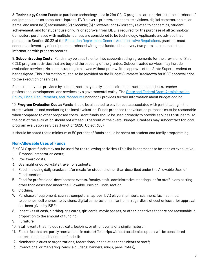8. **Technology Costs:** Funds to purchase technology used in 21st CCLC programs are restricted to the purchase of equipment, such as computers, laptops, DVD players, printers, scanners, televisions, digital cameras, or similar items, and must be (1) reasonable; (2) allocable; (3) allowable; and (4) directly related to academics, student achievement, and for student use only. Prior approval from ISBE is required for the purchase of all technology. Computers purchased with multiple licenses are considered to be technology. Applicants are advised that pursuant to Section 80.32 of the [Education Department General Administrative Regulations,](https://www2.ed.gov/policy/fund/reg/edgarReg/edgar.html) grantees must conduct an inventory of equipment purchased with grant funds at least every two years and reconcile that information with property records.

9. **Subcontracting Costs:** Funds may be used to enter into subcontracting agreements for the provision of 21st CCLC program activities that are beyond the capacity of the grantee. Subcontracted services may include evaluation services. No subcontracting is allowed without prior written approval of the State Superintendent or her designee. This information must also be provided on the Budget Summary Breakdown for ISBE approval prior to the execution of services.

Funds for services provided by subcontractors typically include direct instruction to students, teacher professional development, and services by a governmental entity. The State and Federal Grant Administration [Policy, Fiscal Requirements, and Procedures](https://www.isbe.net/Documents/fiscal_procedure_handbk.pdf) handbook provides further information about budget coding.

10. **Program Evaluation Costs:** Funds should be allocated to pay for costs associated with participating in the state evaluation and conducting the local evaluation. Funds proposed for evaluation purposes must be reasonable when compared to other proposed costs. Grant funds should be used primarily to provide services to students, so the cost of the evaluation should not exceed 10 percent of the overall budget. Grantees may subcontract for local program evaluation services (Function 2620, Object 300).

It should be noted that a minimum of 50 percent of funds should be spent on student and family programming.

### **Non-Allowable Uses of Funds**

 $21st$  CCLC grant funds may not be used for the following activities. (This list is not meant to be seen as exhaustive).

- 1. Proposal preparation costs;
- 2. Pre-award costs;
- 3. Overnight or out-of-state travel for students;
- 4. Food, including daily snacks and/or meals for students other than described under the Allowable Uses of Funds section;
- 5. Food for professional development events, faculty, staff, administrative meetings, or for staff in any setting other than described under the Allowable Uses of Funds section;
- 6. Clothing;
- 7. Purchase of equipment, such as computers, laptops, DVD players, printers, scanners, fax machines, telephones, cell phones, televisions, digital cameras, or similar items, regardless of cost unless prior approval has been given by ISBE;
- 8. Incentives of cash, clothing, gas cards, gift cards, movie passes, or other incentives that are not reasonable in proportion to the amount of funding;
- 9. Furniture;
- 10. Staff events that include retreats, lock-ins, or other events of a similar nature;
- 11. Field trips that are purely recreational in nature (field trips without academic support will be considered entertainment and cannot be funded);
- 12. Membership dues to organizations, federations, or societies for students or staff;
- 13. Promotional or marketing items (e.g., flags, banners, mugs, pens, totes);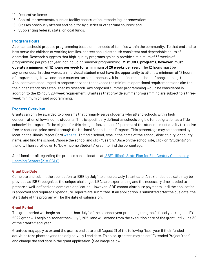- 14. Decorative items;
- 15. Capital improvements, such as facility construction, remodeling, or renovation;
- 16. Classes previously offered and paid for by district or other fund sources; and
- 17. Supplanting federal, state, or local funds.

#### **Program Hours**

Applicants should propose programming based on the needs of families within the community. To that end and to best serve the children of working families, centers should establish consistent and dependable hours of operation. Research suggests that high-quality programs typically provide a minimum of 36 weeks of programming per project year, not including summer programming. **21st CCLC programs, however, must operate a minimum of 12 hours per week for a minimum of 28 weeks per year.** The 12 hours must be asynchronous. (In other words, an individual student must have the opportunity to attend a minimum of 12 hours of programming. If two one-hour courses run simultaneously, it is considered one hour of programming.) Applicants are encouraged to propose services that exceed the minimum operational requirements and aim for the higher standards established by research. Any proposed summer programming would be considered in addition to the 12-hour, 28-week requirement. Grantees that provide summer programming are subject to a threeweek minimum on said programming.

#### **Process Overview**

Grants can only be awarded to programs that primarily serve students who attend schools with a high concentration of low-income students. This is specifically defined as schools eligible for designation as a Title I schoolwide program. To be eligible for this designation, at least 40 percent of the students must qualify to receive free or reduced-price meals through the National School Lunch Program. This percentage may be accessed by locating the Illinois Report Card [website.](https://www.illinoisreportcard.com/) To find a school, type in the name of the school, district, city, or county name, and find the school. Choose the school and click "Search." Once on the school site, click on "Students" on the left. Then scroll down to "Low Income Students" graph to find the percentage.

Additional detail regarding the process can be located at **[ISBE's Illinois State Plan for](https://www.isbe.net/Documents/21stCCLC_state_plan0711.pdf) 21st Century Community** [Learning Centers \(21st CCLC\).](https://www.isbe.net/Documents/21stCCLC_state_plan0711.pdf)

#### **Grant Due Date**

Complete and submit the application to ISBE by July 1 to ensure a July 1 start date. An extended due date may be provided as ISBE recognizes the unique challenges LEAs are experiencing and the necessary time needed to prepare a well-defined and complete application. However, ISBE cannot distribute payments until the application is approved and required Expenditure Reports are submitted. If an application is submitted after the due date, the start date of the program will be the date of submission.

#### **Grant Period**

The grant period will begin no sooner than July 1 of the calendar year preceding the grant's fiscal year (e.g., an FY 2022 grant will begin no sooner than July 1, 2021) and will extend from the execution date of the grant until June 30 of the grant's fiscal year.

Grantees may apply to extend the grant's end date until August 31 of the following fiscal year if their funded activities take place beyond the original July 1 end date. To do so, grantees may select "Extended Project Year" and change the end date in the grant application. (See image below.)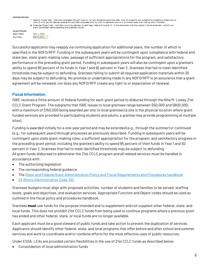#### **Activity Period:**

○ Regular Project Year - activities completed through June 30. No new obligations/activities after June 30 except to pay outstanding obligations made prior to June 30 or to pay for teacher salaries for activities completed prior to June 30 (teachers paid on a 12-month basis, but working only 9 months). • Extended Project Year - activities occurring between project begin date and August 31. In the rare event that the project must be extended, contact your grant coordinator before selecting the Extended choice.

**Grant Period: Begin Date:** End Date:

July 1, 2020 08/31/2021

Successful applicants may reapply via continuing application for additional years, the number of which is specified in the NOFO/RFP. Funding in the subsequent years will be contingent upon compliance with federal and state law, state grant-making rules, passage of sufficient appropriations for the program, and satisfactory performance in the preceding grant period. Funding in subsequent years will also be contingent upon a grantee's ability to spend 85 percent of its funds in Year 1 and 92 percent in Year 2. Grantees that fail to meet identified thresholds may be subject to defunding. Grantees failing to submit all required application materials within 30 days may be subject to defunding. No promise or undertaking made in any NOFO/RFP is an assurance that a grant agreement will be renewed, nor does any NOFO/RFP create any right to or expectation of renewal.

#### **Fiscal Information**

ISBE receives a finite amount of federal funding for each grant period to disburse through the Nita M. Lowey 21st CCLC Grant Program. The subgrants that ISBE issues to local grantees range between \$50,000 and \$600,000, with a maximum of \$150,000 being awarded per site to local grantees (a site is the physical location where grant funded services are provided to participating students and adults; a grantee may provide programming at multiple sites).

Funding is awarded initially for a one-year period and may be extended (e.g., through the summer) or continued (e.g., for subsequent years) through processes as previously described. Funding in subsequent years will be contingent upon state grant-making rules; a sufficient appropriation for the program; and satisfactory progress in the preceding grant period, including the grantee's ability to spend 85 percent of their funds in Year 1 and 92 percent in Year 2. Grantees that fail to meet identified thresholds may be subject to defunding. All grant funds disbursed to administer the 21st CCLC program and all related services must be handled in accordance with:

- The authorizing legislation
- The corresponding federal quidance
- Th[e State and Federal Grant Administration Policy and Fiscal Requirements and Procedures handbook](https://www.isbe.net/Documents/fiscal_procedure_handbk.pdf#search=State%20%20and%20%20Federal%20%20Grant%20%20Administration%20Policy%20%20and%20%20Fiscal%20%20Requirements%20%20and%20%20Procedures)
- [23 Illinois Administrative Code 100.](https://www.isbe.net/documents/100ark.pdf)

Grantees' budgets must align with proposed activities, number of students and families to be served, staffing levels, goals and objectives, and evaluation services. Appropriate Function and Object codes should be used as outlined in the fiscal policy and procedures handbook.

Grantees **must** use funds for the purpose intended and to supplement and not supplant other federal, state, and local funds. This does not prohibit 21st CCLC funds from being used to continue programs where a previous grant has ended and other federal, state, or local funds are no longer available.

Each applicant must be a good steward of public funds and take action to prevent the duplication of services. Applicants should identify other federal, state, and local programs that offer before and after school and summer services and work to coordinate and/or combine efforts for the most effective uses of public resources.

Under ESSA, LEAs are provided certain flexibilities in the use of 21st CCLC funds as described below.

• Consolidation of local administration funds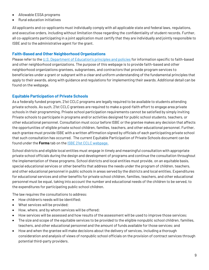- Allowable ESSA programs
- Rural education initiatives

All applicants and co-applicants must individually comply with all applicable state and federal laws, regulations, and executive orders, including without limitation those regarding the confidentiality of student records. Further, all co-applicants participating in a joint application must certify that they are individually and jointly responsible to ISBE and to the administrative agent for the grant.

#### **Faith-Based and Other Neighborhood Organizations**

Please refer to the [U.S. Department of Education's principles and policies](https://www2.ed.gov/policy/fund/reg/fbci-reg.html) for information specific to faith-based and other neighborhood organizations. The purpose of this webpage is to provide faith-based and other neighborhood organizations grantees, subgrantees, and contractors that provide program services to beneficiaries under a grant or subgrant with a clear and uniform understanding of the fundamental principles that apply to their awards, along with guidance and regulations for implementing their awards. Additional detail can be found on the webpage.

#### **Equitable Participation of Private Schools**

As a federally funded program, 21st CCLC programs are legally required to be available to students attending private schools. As such, 21st CCLC grantees are required to make a good-faith effort to engage area private schools in their programming. Private school participation requirements cannot be satisfied by simply inviting Private schools to participate in programs and/or activities designed for public school students, teachers, or other educational personnel. Consultation must occur before ISBE or the grantee makes any decision that affects the opportunities of eligible private school children, families, teachers, and other educational personnel. Further, each grantee must provide ISBE with a written affirmation signed by officials of each participating private school that such consultation has occurred. The current Equitable Participation of Private Schools document can be found under the **Forms** tab on th[e ISBE 21st CCLC webpage.](https://www.isbe.net/Pages/21st-Century-Community-Learning-Centers.aspx)

School districts and eligible local entities must engage in timely and meaningful consultation with appropriate private school officials during the design and development of programs and continue the consultation throughout the implementation of these programs. School districts and local entities must provide, on an equitable basis, special educational services or other benefits that address the needs under the program of children, teachers, and other educational personnel in public schools in areas served by the districts and local entities. Expenditures for educational services and other benefits for private school children, families, teachers, and other educational personnel must be equal, taking into account the number and educational needs of the children to be served, to the expenditures for participating public school children.

The law requires the consultations to address:

- How children's needs will be identified;
- What services will be provided;
- How, where, and by whom services will be offered;
- How services will be assessed and how results of the assessment will be used to improve those services;
- The size and scope of the equitable services to be provided to the eligible nonpublic school children, families, teachers, and other educational personnel and the amount of funds available for those services; and
- How and when the grantee will make decisions about the delivery of services, including a thorough consideration and analysis of views of nonpublic school officials on the provision of contract services through potential third-party providers.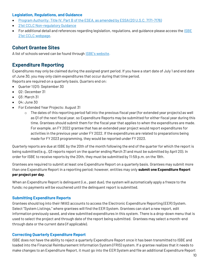#### **Legislation, Regulations, and Guidance**

- [Program Authority: Title IV, Part B of the ESEA, as amended by ESSA \(20 U.S.C. 7171-7176\)](https://www2.ed.gov/programs/21stcclc/legislation.html)
- [21st CCLC Non-regulatory Guidance](https://www2.ed.gov/programs/21stcclc/guidance2003.pdf)
- For additional detail and references regarding legislation, regulations, and guidance please access the [ISBE](https://www.isbe.net/Pages/21st-Century-Community-Learning-Centers.aspx)  [21st CCLC webpage.](https://www.isbe.net/Pages/21st-Century-Community-Learning-Centers.aspx)

## **Cohort Grantee Sites**

A list of schools served can be found through [ISBE's website](https://www.isbe.net/Documents/schools_served.pdf).

## **Expenditure Reporting**

Expenditures may only be claimed during the assigned grant period. If you have a start date of July 1 and end date of June 30, you may only claim expenditures that occur during that time period. Reports are required on a quarterly basis. Quarters end on:

- Quarter 1(Q1): September 30
- Q2: December 31
- Q3: March 31
- Q4: June 30
- For Extended Year Projects: August 31
	- $\circ$  The dates of this reporting period fall into the previous fiscal year (for extended year projects) as well as Q1 of the next fiscal year, so Expenditure Reports may be submitted for either fiscal year during this time. Grantees should submit them for the fiscal year that applies to when the expenditures are made. For example, an FY 2022 grantee that has an extended year project would report expenditures for activities in the previous year under FY 2022. If the expenditures are related to preparations being made for FY 2023 programming, they would be reported under FY 2023.

Quarterly reports are due at ISBE by the 20th of the month following the end of the quarter for which the report is being submitted (e.g., Q3 reports report on the quarter ending March 31 and must be submitted by April 20). In order for ISBE to receive reports by the 20th, they must be submitted by 11:59 p.m. on the 19th.

Grantees are required to submit at least one Expenditure Report on a quarterly basis. Grantees may submit more than one Expenditure Report in a reporting period; however, entities may only **submit one Expenditure Report per project per day**.

When an Expenditure Report is delinquent (i.e., past due), the system will automatically apply a freeze to the funds; no payments will be vouchered until the delinquent report is submitted.

#### **Submitting Expenditure Reports**

Grantees should log into their IWAS accounts to access the Electronic Expenditure Reporting (EER) System. Select "System Listings," where grantees will find the EER System. Grantees can start a new report, edit information previously saved, and view submitted expenditures in this system. There is a drop-down menu that is used to select the project and through date of the report being submitted. Grantees may select a month-end through date or the current date (if applicable).

#### **Correcting Quarterly Expenditure Report**

ISBE does not have the ability to reject a quarterly Expenditure Report once it has been transmitted to ISBE and loaded into the Financial Reimbursement Information System (FRIS) system. If a grantee realizes that it needs to make changes to an Expenditure Report, it must go into the EER System and file an additional Expenditure Report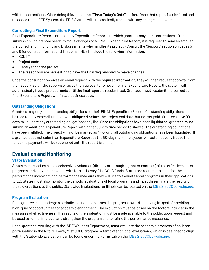with the corrections. When doing this, select the **"Thru: Today's Date"** option. Once that report is submitted and uploaded to the EER System, the FRIS System will automatically update with any changes that were made.

### **Correcting a Final Expenditure Report**

Final Expenditure Reports are the only Expenditure Reports to which grantees may make corrections after submission. If a grantee needs to make changes to a FINAL Expenditure Report, it is required to send an email to the consultant in Funding and Disbursements who handles its project. (Consult the "Support" section on pages 5 and 6 for contact information.) That email MUST include the following information:

- RCDT#
- Project code
- Fiscal year of the project
- The reason you are requesting to have the final flag removed to make changes.

Once the consultant receives an email request with the required information, they will then request approval from their supervisor. If the supervisor gives the approval to remove the final Expenditure Report, the system will automatically freeze project funds until the final report is resubmitted. Grantees **must** resubmit the corrected final Expenditure Report within two business days.

### **Outstanding Obligations**

Grantees may only list outstanding obligations on their FINAL Expenditure Report. Outstanding obligations should be filed for any expenditure that was **obligated before** the project end date, but not yet paid. Grantees have 90 days to liquidate any outstanding obligations they list. Once the obligations have been liquidated, grantees **must** submit an additional Expenditure Report within that 90-day time period to show all the outstanding obligations have been fulfilled. The project will not be marked as *Final* until all outstanding obligations have been liquidated. If a grantee does not submit an Expenditure Report by the 90-day mark, the system will automatically freeze the funds; no payments will be vouchered until the report is on file.

## **Evaluation and Monitoring**

### **State Evaluation**

States must conduct a comprehensive evaluation (directly or through a grant or contract) of the effectiveness of programs and activities provided with Nita M. Lowey 21st CCLC funds. States are required to describe the performance indicators and performance measures they will use to evaluate local programs in their applications to ED. States must also monitor the periodic evaluations of local programs and must disseminate the results of these evaluations to the public. Statewide Evaluations for Illinois can be located on th[e ISBE 21st CCLC webpage.](https://www.isbe.net/Pages/21st-Century-Community-Learning-Centers.aspx)

### **Program Evaluation**

Each grantee must undergo a periodic evaluation to assess its progress toward achieving its goal of providing high-quality opportunities for academic enrichment. The evaluation must be based on the factors included in the measures of effectiveness. The results of the evaluation must be made available to the public upon request and be used to refine, improve, and strengthen the program and to refine the performance measures.

Local grantees, working with the ISBE Wellness Department, must evaluate the academic progress of children participating in the Nita M. Lowey 21st CCLC program. A template for local evaluations, which is designed to align with the Statewide Evaluation, can be found under the Forms tab on the **ISBE 21st CCLC** webpage.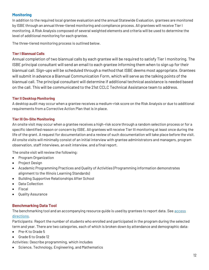#### **Monitoring**

In addition to the required local grantee evaluation and the annual Statewide Evaluation, grantees are monitored by ISBE through an annual three-tiered monitoring and compliance process. All grantees will receive Tier I monitoring. A Risk Analysis composed of several weighted elements and criteria will be used to determine the level of additional monitoring for each grantee.

The three-tiered monitoring process is outlined below.

#### **Tier I Biannual Calls**

Annual completion of two biannual calls by each grantee will be required to satisfy Tier I monitoring. The ISBE principal consultant will send an email to each grantee informing them when to sign up for their biannual call. Sign-ups will be scheduled through a method that ISBE deems most appropriate. Grantees will submit in advance a Biannual Communication Form, which will serve as the talking points of the biannual call. The principal consultant will determine if additional technical assistance is needed based on the call. This will be communicated to the 21st CCLC Technical Assistance team to address.

#### **Tier II Desktop Monitoring**

A desktop audit may occur when a grantee receives a medium-risk score on the Risk Analysis or due to additional requirements from a Corrective Action Plan that is in place.

#### **Tier III On-Site Monitoring**

An onsite visit may occur when a grantee receives a high-risk score through a random selection process or for a specific identified reason or concern by ISBE. All grantees will receive Tier III monitoring at least once during the life of the grant. A request for documentation and a review of such documentation will take place before the visit. All onsite visits will minimally consist of an initial interview with grantee administrators and managers, program observation, staff interviews, an exit interview, and a final report.

The onsite visit will review the following:

- Program Organization
- Project Design
- Academic Programming Practices and Quality of Activities (Programming information demonstrates alignment to the Illinois Learning Standards)
- Building Supportive Relationships After School
- Data Collection
- Fiscal
- Quality Assurance

#### **Benchmarking Data Tool**

The benchmarking tool and an accompanying resource guide is used by grantees to report data. See [access](https://www.isbe.net/Documents/21stCCLC-webinar022021.pdf#search=data%20and%20benchmarking%20tool)  [directions.](https://www.isbe.net/Documents/21stCCLC-webinar022021.pdf#search=data%20and%20benchmarking%20tool)

Participants: Report the number of students who enrolled and participated in the program during the selected term and year. There are two categories, each of which is broken down by attendance and demographic data:

- Pre-K to Grade 5
- Grade 6 to Grade 12

Activities: Describe programming, which includes

Science, Technology, Engineering, and Mathematics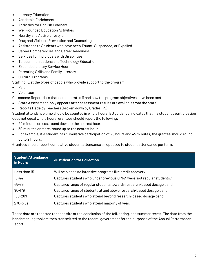- Literacy Education
- Academic Enrichment
- Activities for English Learners
- Well-rounded Education Activities
- Healthy and Active Lifestyle
- Drug and Violence Prevention and Counseling
- Assistance to Students who have been Truant, Suspended, or Expelled
- Career Competencies and Career Readiness
- Services for Individuals with Disabilities
- Telecommunications and Technology Education
- Expanded Library Service Hours
- Parenting Skills and Family Literacy
- Cultural Programs

Staffing: List the types of people who provide support to the program:

- Paid
- Volunteer

Outcomes: Report data that demonstrates if and how the program objectives have been met:

- State Assessment (only appears after assessment results are available from the state)
- Reports Made by Teachers (broken down by Grades 1-5)

Student attendance time should be counted in whole hours. ED guidance indicates that if a student's participation does not equal whole hours, grantees should report the following:

- 29 minutes or less, round down to the nearest hour.
- 30 minutes or more, round up to the nearest hour.
- For example, if a student has cumulative participation of 20 hours and 45 minutes, the grantee should round up to 21 hours.

Grantees should report cumulative student attendance as opposed to student attendance per term.

| <b>Student Attendance</b><br>in Hours | <b>Justification for Collection</b>                                    |
|---------------------------------------|------------------------------------------------------------------------|
| Less than 15                          | Will help capture intensive programs like credit recovery.             |
| $15 - 44$                             | Captures students who under previous GPRA were "not regular students." |
| 45-89                                 | Captures range of regular students towards research-based dosage band. |
| 90-179                                | Captures range of students at and above research-based dosage band     |
| 180-269                               | Captures students who attend beyond research-based dosage band.        |
| 270-plus                              | Captures students who attend majority of year.                         |

These data are reported for each site at the conclusion of the fall, spring, and summer terms. The data from the benchmarking tool are then transmitted to the federal government for the purposes of the Annual Performance Report.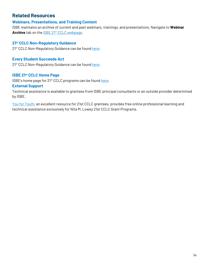## **Related Resources**

#### **Webinars, Presentations, and Training Content**

ISBE maintains an archive of current and past webinars, trainings, and presentations. Navigate to **Webinar**  Archive tab on the **ISBE 21st CCLC webpage**.

#### **21st CCLC Non-Regulatory Guidance**

2<sup>1st</sup> CCLC Non-Regulatory Guidance can be foun[d here.](https://www2.ed.gov/programs/21stcclc/guidance2003.pdf)

#### **Every Student Succeeds Act**

2<sup>1st</sup> CCLC Non-Regulatory Guidance can be foun[d here.](https://www.ed.gov/essa?src=rn)

#### **ISBE 21st CCLC Home Page**

ISBE's home page for 21<sup>st</sup> CCLC programs can be found [here.](https://www.isbe.net/Pages/21st-Century-Community-Learning-Centers.aspx)

#### **External Support**

Technical assistance is available to grantees from ISBE principal consultants or an outside provider determined by ISBE.

[You for Youth,](https://y4y.ed.gov/) an excellent resource for 21st CCLC grantees, provides free online professional learning and technical assistance exclusively for Nita M. Lowey 21st CCLC Grant Programs.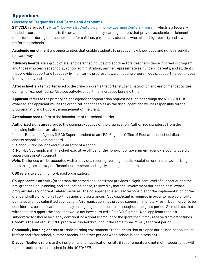## **Appendices**

### **Glossary of Frequently Used Terms and Acronyms**

**21st CCLC** refers to the [Nita M. Lowey 21st Century Community Learning Centers Program,](https://www.isbe.net/Pages/21st-Century-Community-Learning-Centers.aspx) which is a federally funded program that supports the creation of community learning centers that provide academic enrichment opportunities during non-school hours for children, particularly students who attend high-poverty and lowperforming schools.

**Academic enrichment** are opportunities that enable students to practice new knowledge and skills in real-life, relevant ways.

**Advisory boards** are a group of stakeholders that include project directors, teachers (those involved in program and those who teach at schools), school administration, partner representatives, funders, parents, and students that provide support and feedback by monitoring progress toward meeting program goals, supporting continuous improvement, and sustainability.

**After school** is a term often used to describe programs that offer student instruction and enrichment activities during non-school hours. (Also see out-of-school time, increased learning time).

**Applicant** refers to the primary or lead agency or organization requesting funding through the NOFO/RFP. If awarded, the applicant will be the organization that serves as the fiscal agent and will be responsible for the programmatic and fiduciary management of the grant.

**Attendance area** refers to the boundaries of the school district.

**Authorized signature** refers to the signing executive of the organization. Authorized signatures from the following individuals are also acceptable:

1. Local Education Agency (LEA): Superintendent of an LEA, Regional Office of Education or school district, or charter school governing board

2. School: Principal or executive director of a school

3. Non-LEA co-applicant: The chief executive officer of the nonprofit or government agency (a county board of supervisors or city council)

*Note:* Designees **will** be accepted with a copy of a recent governing board's resolution or minutes authorizing them to sign as a proxy for financial statements and legally binding documents.

**CBO** refers to a community-based organization.

**Co-applicant** is an entity (other than the named applicant) that provides a significant level of support during the pre-grant design, planning, and application phase, followed by material involvement during the post-award program delivery of grant-related services. The co-applicant is equally responsible for the implementation of the grant and will sign off on all certifications and assurances. A co-applicant is required in order to receive priority points as a jointly submitted application. An organization may provide support in monetary form, but in order to be considered a co-applicant it must play an ongoing continuous role throughout the grant period. So much so, that without such support the applicant would not have pursued a 21st CCLC grant. A co-applicant that is a subcontractor should be clearly contributing a greater amount to the grant than it may receive from grant funds. **Cohort** is the set of 21st CCLC programs funded throughout the same three-/five-year grant period.

**Community learning centers** are safe learning environments for students that are open during non-school hours (before and after school, summer breaks, and other periods when school is not in session).

**Disqualifications** refers to the ineligibility of an application or site if requirements are not met in accordance with the instructions as established in this NOFO/RFP.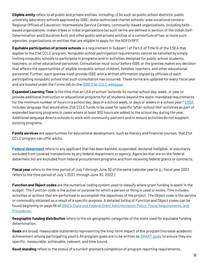**Eligible entity** refers to all public and private entities, including LEAs such as public school districts; public university laboratory schools approved by ISBE; state-authorized charter schools; area vocational centers; Regional Offices of Education; Intermediate Service Centers; community-based organizations, including faithbased organizations; Indian tribes or tribal organizations (as such terms are defined in section of the Indian Self-Determination and Education Act); and other public and private entities or a consortium of two or more such agencies, organizations, or entities that are eligible to apply for the NOFO/RFP.

**Equitable participation of private schools** is a requirement in Subpart 1 of Part E of Title IX of the ESEA that applies to the 21st CCLC program. Nonpublic school participation requirements cannot be satisfied by simply inviting nonpublic schools to participate in programs and/or activities designed for public school students, teachers, or other educational personnel. Consultation must occur before ISBE or the grantee makes any decision that affects the opportunities of eligible nonpublic school children, families, teachers, and other educational personnel. Further, each grantee must provide ISBE with a written affirmation signed by officials of each participating nonpublic school that such consultation has occurred. These forms are updated for every fiscal year and are located under the Forms tab on the **ISBE 21st CCLC** webpage.

**Expanded Learning Time** is the time that an LEA or school "extends its normal school day, week, or year to provide additional instruction or educational programs for all students beyond the state-mandated requirements for the minimum number of hours in a school day, days in a school week, or days or weeks in a school year." [ESSA](https://www.ed.gov/essa?src=policy) includes language that would allow 21st CCLC funds to be used for specific "after-school-like" activities as part of expanded learning programs in cases where at least 300 hours are added to the school day during the year. Additional language directs schools to work with community partners and to ensure activities do not supplant existing programs.

**Family services** are opportunities for educational development, such as literacy and financial courses, that 21st CCLC program can offer adults.

**[Federal debarment](https://www.gsa.gov/policy-regulations/policy/acquisition-policy/office-of-acquisition-policy/gsa-acq-policy-integrity-workforce/suspension-debarment-and-agency-protests)** refers to any applicant that has been banned, suspended, declared ineligible, or voluntarily excluded from covered transactions by any federal department or agency. Agencies that are on the federal debarment list are excluded from federal procurement programs and from receiving federal grants or contracts.

**Fiscal year** refers to the time period of July 1 through June 30 of the same calendar year (e.g., fiscal year 2022 refers to the time period of July 1, 2021, through June 30, 2022.)

**Function and Object codes** are the numerical coding system used to classify where grant funding is spent in the budget. The Function code is the action or purpose for which a person or thing is used or exists. This includes activities or actions that are performed to accomplish the objectives of the project. The Object code is the service or commodity obtained as a result of a specific purpose. A detailed listing of Function and Object codes can be found beginning on page 66 of [ISBE's State and Federal Grant Administration Policy, Fiscal Requirements, and](https://www.isbe.net/Documents/fiscal_procedure_handbk.pdf)  [Procedures.](https://www.isbe.net/Documents/fiscal_procedure_handbk.pdf)

**Geographic funding distribution** refers to the six geographic categories of the state used for equitable funding determination.

**Goals** are broad, measurable statements representing the long-term impact of the program (increase academic achievement among participating youth). All program goals are to be written as **SMART** goals to ensure they are specific, measurable, achievable, relevant, and time bound.

**Good standing** refers to the status of a current grantee's completion of program reporting requirements.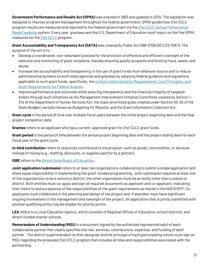**Government Performance and Results Act (GPRA)** was enacted in 1993 and updated in 2010. The legislation was designed to improve program management throughout the federal government. GPRA guides how 21st CCLC program results are measured and reported to the federal government via the [21st CCLC Annual Performance](https://www2.ed.gov/programs/21stcclc/performance.html)  [Report website](https://www2.ed.gov/programs/21stcclc/performance.html) system. Every year, grantees and the U.S. Department of Education must report on the five GPRA measures for the [21st CCLC](https://www2.ed.gov/programs/21stcclc/performance.html) program.

**Grant Accountability and Transparency Act (GATA)** was created by Public Act 098-0706 (30 ILCS 708/1). The purpose of the act is to:

- Develop a coordinated, non-redundant process for the provision of effective and efficient oversight of the selection and monitoring of grant recipients, thereby ensuring quality programs and limiting fraud, waste, and abuse;
- Increase the accountability and transparency in the use of grant funds from whatever source and to reduce administrative burdens on both state agencies and grantees by adopting federal guidance and regulations applicable to such grant funds, specifically, the [Uniform Administrative Requirements, Cost Principles, and](https://www.grants.gov/web/grants/learn-grants/grant-policies/omb-uniform-guidance-2014.html)  [Audit Requirements for Federal Awards;](https://www.grants.gov/web/grants/learn-grants/grant-policies/omb-uniform-guidance-2014.html)
- Improve performance and outcomes while ensuring transparency and the financial integrity of taxpayer dollars through such initiatives as the Management Improvement Initiative Committee created by Section 1- 37a of the Department of Human Services Act, the state-prioritized goals created under Section 50-25 of the State Budget Law (also known as Budgeting for Results), and the Grant Information Collection Act.

**Grant cycle** is the period of time over multiple fiscal years between the initial project beginning date and the final project completion date.

**Grantee** refers to an applicant who has a current, approved grant for 21st CCLC grant funds.

**Grant period** is the period of time between the annual project beginning date and the project ending date for each fiscal year of the grant cycle.

**In-kind contribution** refers to resources contributed to the program, such as goods, commodities, or services instead of money (e.g., staffing, discounts, or supplies paid for by a partner).

**ISBE** refers to the **Illinois State Board of Education**.

**Joint application/submission** refers to at least two organizations collaborating to submit a single application and share equal responsibility in implementing the grant-funded programming. Joint submission requires at least one of the organizations to be a school or district; the other organization must be an entity other than a school or district. Both entities must co-apply and sign all required documents as applicant and co-applicant, indicating their intent to and acceptance of the responsibilities of the grant requirements as stated in the NOFO/RFP. Coapplicants must collaborate in the planning and design of the project and, if awarded, must have significant ongoing involvement in the management and oversight of the project. An application that is jointly submitted with another qualifying entity may be eligible for priority points.

**LEA** refers to a Local Education Agency, which consists of Regional Offices of Education, school districts, and direct-funded charter schools.

**Memorandum of Understanding (MOU)** is a document signed by the authorized representative(s) of each collaborative partner that clearly specifies the role, services, contributions, expertise, and funding of each partner. The district superintendent or their designee *and* the principal of each participating school must sign an MOU regarding the proposed 21st CCLC program that includes all roles and responsibilities associated with the partnership.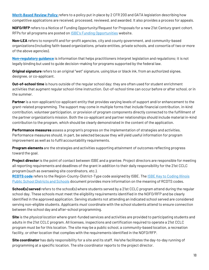**[Merit-Based Review Policy](https://www.isbe.net/Documents/Merit_Based_Review_Policy.pdf)** refers to a policy put in place by 2 CFR 200 and GATA legislation describing how competitive applications are received, processed, reviewed, and awarded. It also provides a process for appeals.

**NOFO/RFP** refers to a Notice of Funding Opportunity/Request for Proposals for a new 21st Century grant cohort. RFPs for all programs are posted on **[ISBE's Funding Opportunities](https://www.isbe.net/Pages/Request-for-Proposals.aspx)** website.

**Non-LEA** refers to nonprofit and for-profit agencies, city and county government, and community-based organizations (including faith-based organizations, private entities, private schools, and consortia of two or more of the above agencies).

**[Non-regulatory guidance](https://www2.ed.gov/programs/21stcclc/legislation.html)** is information that helps practitioners interpret legislation and regulations; it is not legally binding but used to guide decision-making for programs supported by the federal law.

**Original signature** refers to an original "wet" signature, using blue or black ink, from an authorized signee, designee, or co-applicant.

**Out-of-school time** is hours outside of the regular school day; they are often used for student enrichment activities that augment regular school-time instruction. Out-of-school time can occur before or after school, or in the summer.

**Partner** is a non-applicant/co-applicant entity that provides varying levels of support and/or enhancement to the grant-related programming. The support may come in multiple forms that include financial contribution, in-kind contribution, volunteer participation, or provision of program components directly connected to the fulfillment of the partner organization's mission. Both the co-applicant and partner relationships should include material in-kind contribution to the program, which should be clearly demonstrated in the content of the application.

**Performance measures** assess a program's progress on the implementation of strategies and activities. Performance measures should, in part, be selected because they will yield useful information for program improvement as well as to fulfil accountability requirements.

**Program elements** are the strategies and activities supporting attainment of outcomes reflecting progress toward the goal.

**Project director** is the point of contact between ISBE and a grantee. Project directors are responsible for meeting all reporting requirements and deadlines of the grant in addition to their daily responsibility for the 21st CCLC program (such as overseeing site coordinators, etc.).

[RCDTS code](https://www.isbe.net/Pages/RCDTS-Lookup.aspx) refers to the Region-County-District-Type code assigned by ISBE. The **ISBE Key to Coding Illinois** [Public School Districts and Schools](https://www.isbe.net/Documents/key_codes.pdf) document provides more information on the meaning of RCDTS codes.

**School(s) served** refers to the school(s) where students served by a 21st CCLC program attend during the regular school day. These schools must meet the eligibility requirements identified in the NOFO/RFP and be clearly identified in the approved application. Serving students not attending an indicated school served are considered serving non-eligible students. Applicants *must* coordinate with the school students attend to ensure connection between the school day and after-school programming.

**Site** is the *physical location* where grant-funded services and activities are provided to participating students and adults in the 21st CCLC program. All licenses, inspections and certification required to operate a 21st CCLC program must be for this location. The site may be a public school, a community-based location, a recreation facility, or other location that complies with the requirements identified in the NOFO/RFP.

**Site coordinator** has daily responsibility for a site and its staff. He/she facilitates the day-to-day running of programming at a specific location. The site coordinator reports to the project director.